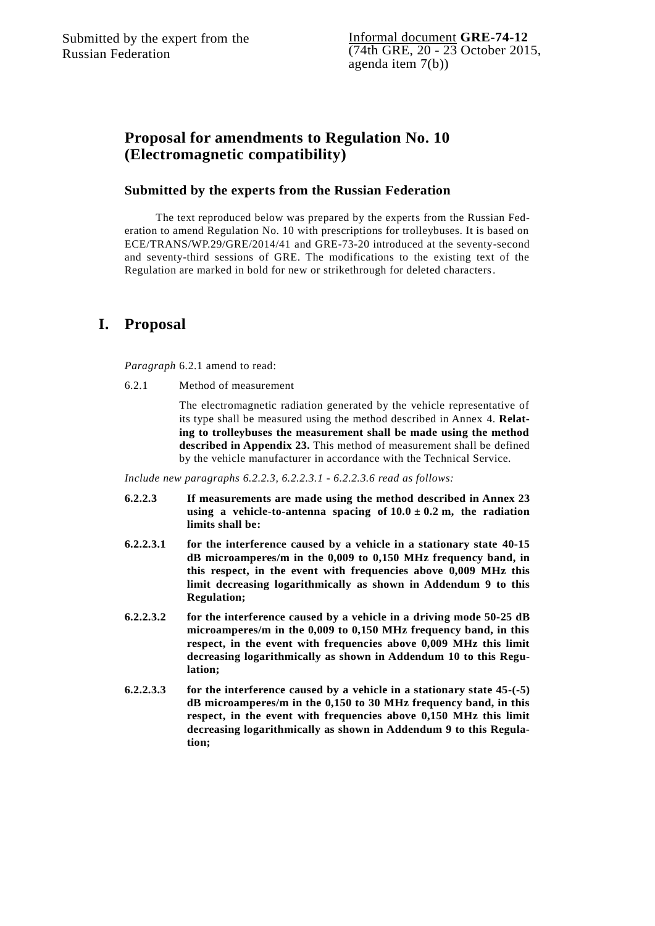# **Proposal for amendments to Regulation No. 10 (Electromagnetic compatibility)**

### **Submitted by the experts from the Russian Federation**

The text reproduced below was prepared by the experts from the Russian Federation to amend Regulation No. 10 with prescriptions for trolleybuses. It is based on ECE/TRANS/WP.29/GRE/2014/41 and GRE-73-20 introduced at the seventy-second and seventy-third sessions of GRE. The modifications to the existing text of the Regulation are marked in bold for new or strikethrough for deleted characters.

# **I. Proposal**

*Paragraph* 6.2.1 amend to read:

6.2.1 Method of measurement

The electromagnetic radiation generated by the vehicle representative of its type shall be measured using the method described in Annex 4. **Relating to trolleybuses the measurement shall be made using the method described in Appendix 23.** This method of measurement shall be defined by the vehicle manufacturer in accordance with the Technical Service.

*Include new paragraphs 6.2.2.3, 6.2.2.3.1 - 6.2.2.3.6 read as follows:* 

- **6.2.2.3 If measurements are made using the method described in Annex 23 using a vehicle-to-antenna spacing of**  $10.0 \pm 0.2$  **m, the radiation limits shall be:**
- **6.2.2.3.1 for the interference caused by a vehicle in a stationary state 40-15 dB microamperes/m in the 0,009 to 0,150 MHz frequency band, in this respect, in the event with frequencies above 0,009 MHz this limit decreasing logarithmically as shown in Addendum 9 to this Regulation;**
- **6.2.2.3.2 for the interference caused by a vehicle in a driving mode 50-25 dB microamperes/m in the 0,009 to 0,150 MHz frequency band, in this respect, in the event with frequencies above 0,009 MHz this limit decreasing logarithmically as shown in Addendum 10 to this Regulation;**
- **6.2.2.3.3 for the interference caused by a vehicle in a stationary state 45-(-5) dB microamperes/m in the 0,150 to 30 MHz frequency band, in this respect, in the event with frequencies above 0,150 MHz this limit decreasing logarithmically as shown in Addendum 9 to this Regulation;**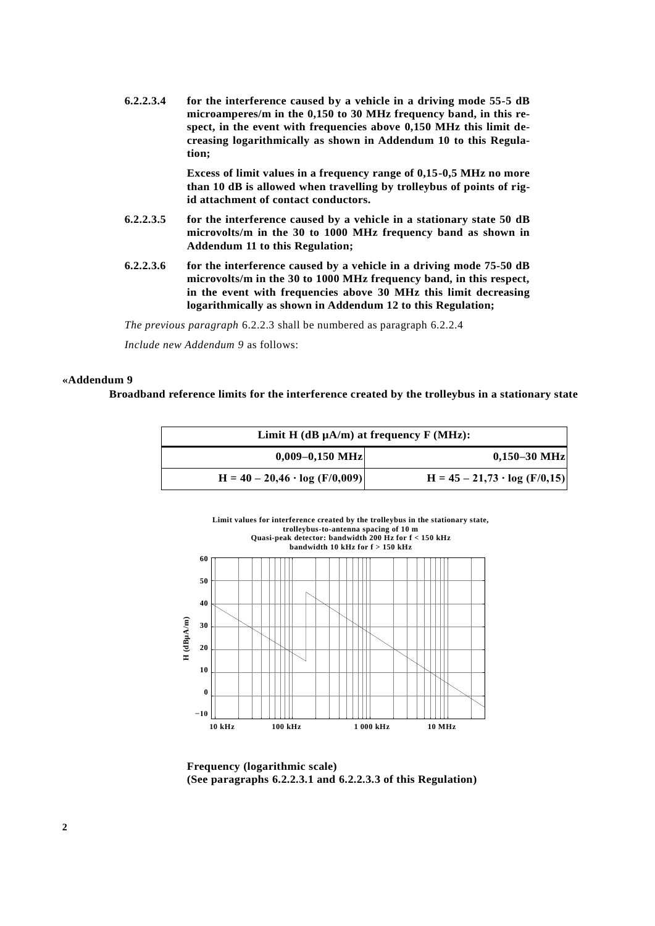**6.2.2.3.4 for the interference caused by a vehicle in a driving mode 55-5 dB microamperes/m in the 0,150 to 30 MHz frequency band, in this respect, in the event with frequencies above 0,150 MHz this limit decreasing logarithmically as shown in Addendum 10 to this Regulation;**

> **Excess of limit values in a frequency range of 0,15-0,5 MHz no more than 10 dB is allowed when travelling by trolleybus of points of rigid attachment of contact conductors.**

- **6.2.2.3.5 for the interference caused by a vehicle in a stationary state 50 dB microvolts/m in the 30 to 1000 MHz frequency band as shown in Addendum 11 to this Regulation;**
- **6.2.2.3.6 for the interference caused by a vehicle in a driving mode 75-50 dB microvolts/m in the 30 to 1000 MHz frequency band, in this respect, in the event with frequencies above 30 MHz this limit decreasing logarithmically as shown in Addendum 12 to this Regulation;**

*The previous paragraph* 6.2.2.3 shall be numbered as paragraph 6.2.2.4

*Include new Addendum 9* as follows:

#### **«Addendum 9**

**Broadband reference limits for the interference created by the trolleybus in a stationary state** 

| Limit H (dB $\mu$ A/m) at frequency F (MHz): |                                      |
|----------------------------------------------|--------------------------------------|
| $0,150 - 30$ MHz                             | $0,009-0,150 \text{ MHz}$            |
| $H = 45 - 21{,}73 \cdot log (F/0{,}15)$      | $H = 40 - 20,46 \cdot log (F/0,009)$ |



**Frequency (logarithmic scale) (See paragraphs 6.2.2.3.1 and 6.2.2.3.3 of this Regulation)**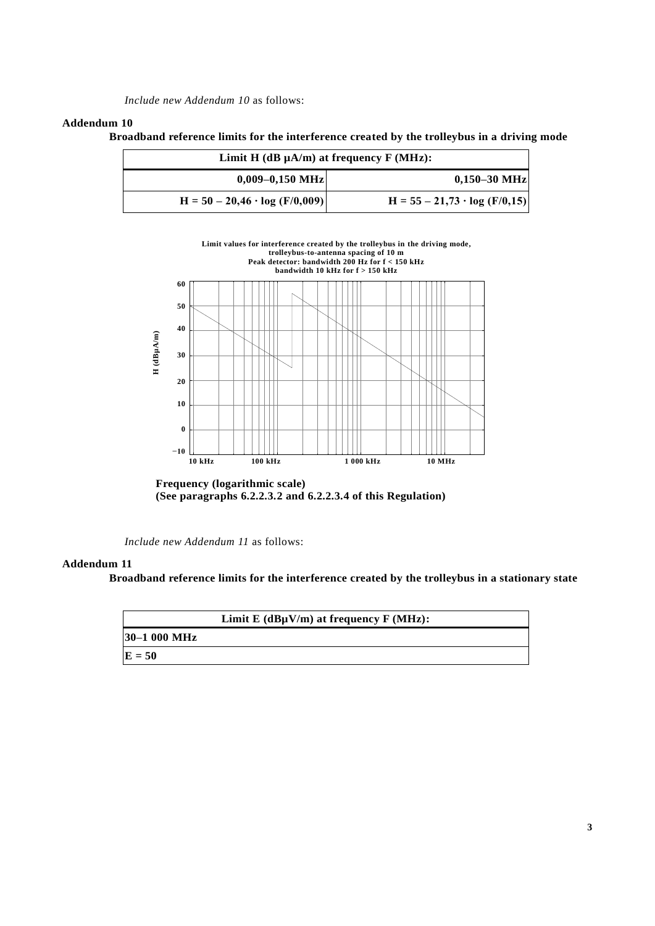*Include new Addendum 10* as follows:

#### **Addendum 10**

**Broadband reference limits for the interference created by the trolleybus in a driving mode**

| Limit H (dB $\mu$ A/m) at frequency F (MHz): |                                     |  |
|----------------------------------------------|-------------------------------------|--|
| $0,009-0,150 \text{ MHz}$                    | $0,150 - 30$ MHz                    |  |
| $H = 50 - 20,46 \cdot log (F/0,009)$         | $H = 55 - 21,73 \cdot log (F/0,15)$ |  |



**Frequency (logarithmic scale) (See paragraphs 6.2.2.3.2 and 6.2.2.3.4 of this Regulation)**

*Include new Addendum 11* as follows:

### **Addendum 11**

**Broadband reference limits for the interference created by the trolleybus in a stationary state**

|                         | Limit $E$ (dB $\mu$ V/m) at frequency $F$ (MHz): |
|-------------------------|--------------------------------------------------|
| $ 30-1000 \text{ MHz} $ |                                                  |
| $E = 50$                |                                                  |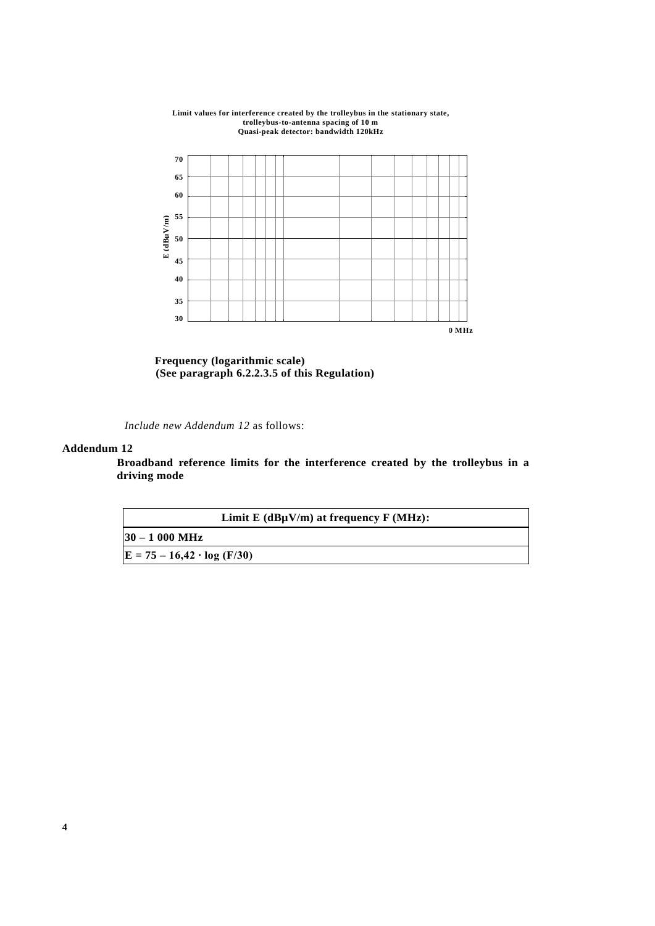

**Limit values for interference created by the trolleybus in the stationary state, trolleybus-to-antenna spacing of 10 m Quasi-peak detector: bandwidth 120kHz**

 **Frequency (logarithmic scale) (See paragraph 6.2.2.3.5 of this Regulation)**

*Include new Addendum 12* as follows:

#### **Addendum 12**

**Broadband reference limits for the interference created by the trolleybus in a driving mode**

| Limit $E$ (dB $\mu$ V/m) at frequency $F$ (MHz): |  |
|--------------------------------------------------|--|
| $ 30 - 1000 \text{ MHz} $                        |  |
| $E = 75 - 16,42 \cdot log (F/30)$                |  |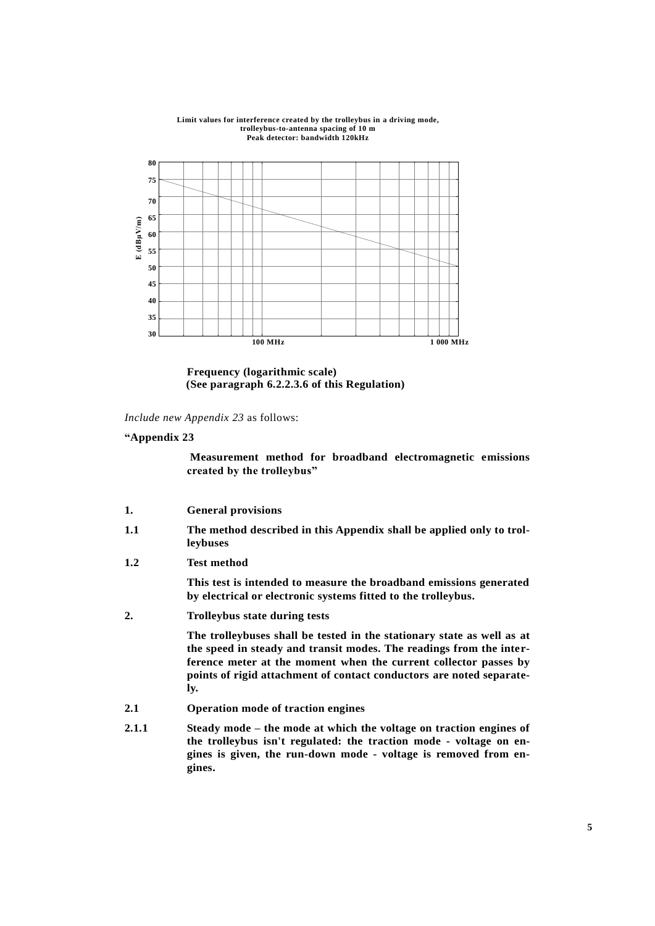

#### **Limit values for interference created by the trolleybus in a driving mode, trolleybus-to-antenna spacing of 10 m Peak detector: bandwidth 120kHz**

**Frequency (logarithmic scale) (See paragraph 6.2.2.3.6 of this Regulation)**

*Include new Appendix 23* as follows:

### **"Appendix 23**

**Measurement method for broadband electromagnetic emissions created by the trolleybus"**

- **1. General provisions**
- **1.1 The method described in this Appendix shall be applied only to trolleybuses**
- **1.2 Test method**

**This test is intended to measure the broadband emissions generated by electrical or electronic systems fitted to the trolleybus.**

**2. Trolleybus state during tests**

**The trolleybuses shall be tested in the stationary state as well as at the speed in steady and transit modes. The readings from the interference meter at the moment when the current collector passes by points of rigid attachment of contact conductors are noted separately.** 

- **2.1 Operation mode of traction engines**
- **2.1.1 Steady mode – the mode at which the voltage on traction engines of the trolleybus isn't regulated: the traction mode - voltage on engines is given, the run-down mode - voltage is removed from engines.**